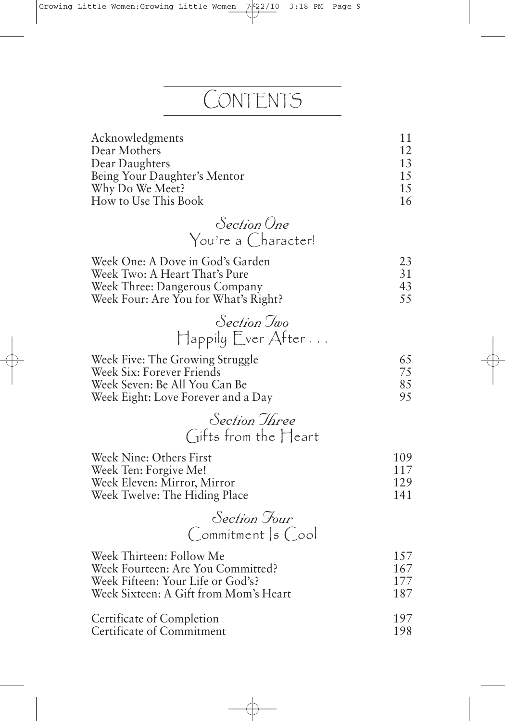# CONTENTS

| Acknowledgments                       | 11  |
|---------------------------------------|-----|
| Dear Mothers                          | 12  |
| Dear Daughters                        | 13  |
| Being Your Daughter's Mentor          | 15  |
| Why Do We Meet?                       | 15  |
| How to Use This Book                  | 16  |
| Section One<br>You're a Character!    |     |
| Week One: A Dove in God's Garden      | 23  |
| Week Two: A Heart That's Pure         | 31  |
| Week Three: Dangerous Company         | 43  |
| Week Four: Are You for What's Right?  | 55  |
| Section Two<br>Happily Ever After     |     |
| Week Five: The Growing Struggle       | 65  |
| Week Six: Forever Friends             | 75  |
| Week Seven: Be All You Can Be         | 85  |
| Week Eight: Love Forever and a Day    | 95  |
| Section Three<br>Gifts from the Heart |     |
| Week Nine: Others First               | 109 |
| Week Ten: Forgive Me!                 | 117 |
| Week Eleven: Mirror, Mirror           | 129 |
| Week Twelve: The Hiding Place         | 141 |
| Section Four<br>Commitment  s Cool    |     |
| Week Thirteen: Follow Me              | 157 |
| Week Fourteen: Are You Committed?     | 167 |
| Week Fifteen: Your Life or God's?     | 177 |
| Week Sixteen: A Gift from Mom's Heart | 187 |
| Certificate of Completion             | 197 |
| Certificate of Commitment             | 198 |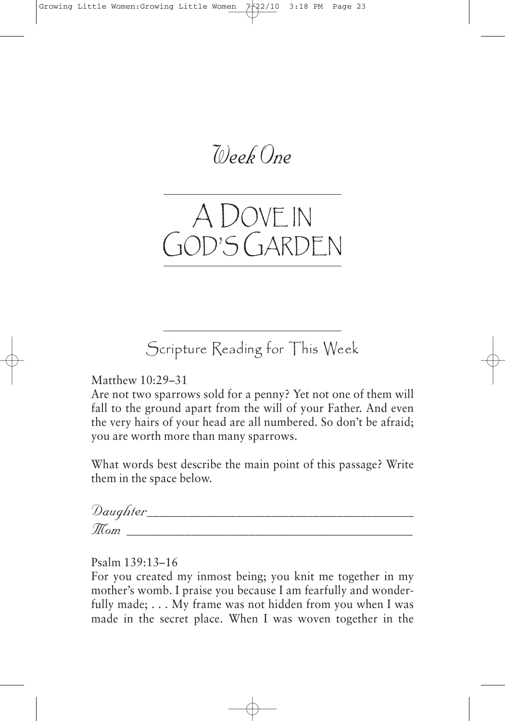*Week One*

A DOVE IN GOD'S GARDEN

Scripture Reading for This Week

Matthew 10:29–31

Are not two sparrows sold for a penny? Yet not one of them will fall to the ground apart from the will of your Father. And even the very hairs of your head are all numbered. So don't be afraid; you are worth more than many sparrows.

What words best describe the main point of this passage? Write them in the space below.

*Daughter*\_\_\_\_\_\_\_\_\_\_\_\_\_\_\_\_\_\_\_\_\_\_\_\_\_\_\_\_\_\_\_\_\_\_\_\_\_\_\_\_\_\_\_\_\_ *Mom* \_\_\_\_\_\_\_\_\_\_\_\_\_\_\_\_\_\_\_\_\_\_\_\_\_\_\_\_\_\_\_\_\_\_\_\_\_\_\_\_\_\_\_\_\_\_\_\_\_

Psalm 139:13–16

For you created my inmost being; you knit me together in my mother's womb. I praise you because I am fearfully and wonderfully made; . . . My frame was not hidden from you when I was made in the secret place. When I was woven together in the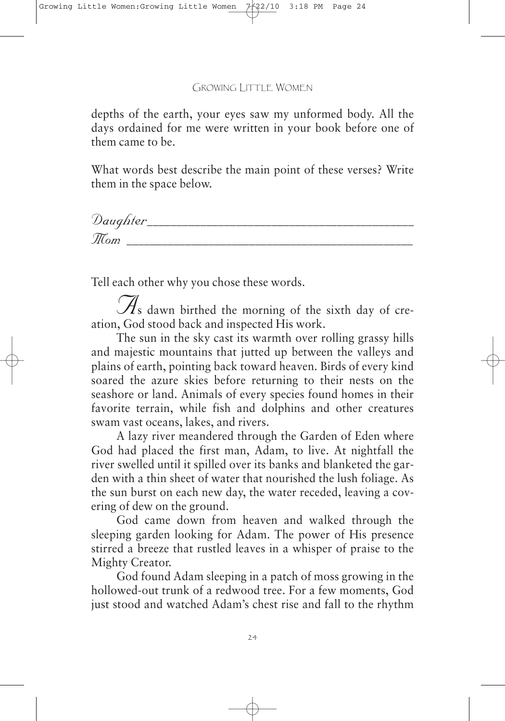depths of the earth, your eyes saw my unformed body. All the days ordained for me were written in your book before one of them came to be.

What words best describe the main point of these verses? Write them in the space below.

*Daughter*\_\_\_\_\_\_\_\_\_\_\_\_\_\_\_\_\_\_\_\_\_\_\_\_\_\_\_\_\_\_\_\_\_\_\_\_\_\_\_\_\_\_\_\_\_ *Mom* \_\_\_\_\_\_\_\_\_\_\_\_\_\_\_\_\_\_\_\_\_\_\_\_\_\_\_\_\_\_\_\_\_\_\_\_\_\_\_\_\_\_\_\_\_\_\_\_\_

Tell each other why you chose these words.

 $\mathcal{A}_s$  dawn birthed the morning of the sixth day of creation, God stood back and inspected His work.

The sun in the sky cast its warmth over rolling grassy hills and majestic mountains that jutted up between the valleys and plains of earth, pointing back toward heaven. Birds of every kind soared the azure skies before returning to their nests on the seashore or land. Animals of every species found homes in their favorite terrain, while fish and dolphins and other creatures swam vast oceans, lakes, and rivers.

A lazy river meandered through the Garden of Eden where God had placed the first man, Adam, to live. At nightfall the river swelled until it spilled over its banks and blanketed the garden with a thin sheet of water that nourished the lush foliage. As the sun burst on each new day, the water receded, leaving a covering of dew on the ground.

God came down from heaven and walked through the sleeping garden looking for Adam. The power of His presence stirred a breeze that rustled leaves in a whisper of praise to the Mighty Creator.

God found Adam sleeping in a patch of moss growing in the hollowed-out trunk of a redwood tree. For a few moments, God just stood and watched Adam's chest rise and fall to the rhythm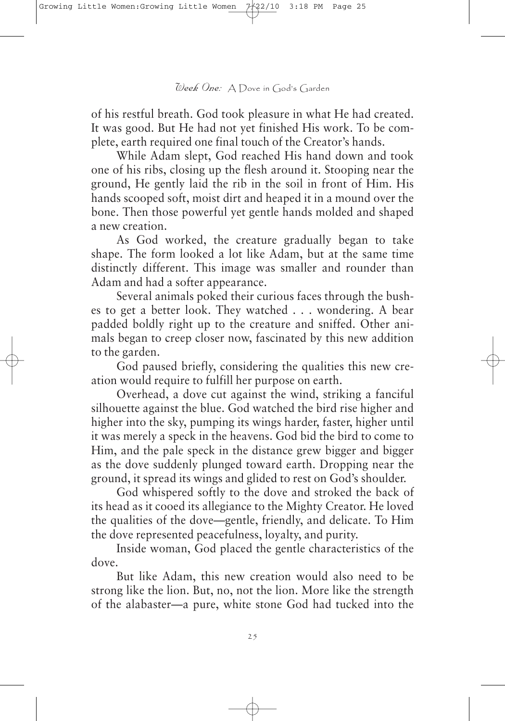of his restful breath. God took pleasure in what He had created. It was good. But He had not yet finished His work. To be complete, earth required one final touch of the Creator's hands.

While Adam slept, God reached His hand down and took one of his ribs, closing up the flesh around it. Stooping near the ground, He gently laid the rib in the soil in front of Him. His hands scooped soft, moist dirt and heaped it in a mound over the bone. Then those powerful yet gentle hands molded and shaped a new creation.

As God worked, the creature gradually began to take shape. The form looked a lot like Adam, but at the same time distinctly different. This image was smaller and rounder than Adam and had a softer appearance.

Several animals poked their curious faces through the bushes to get a better look. They watched . . . wondering. A bear padded boldly right up to the creature and sniffed. Other animals began to creep closer now, fascinated by this new addition to the garden.

God paused briefly, considering the qualities this new creation would require to fulfill her purpose on earth.

Overhead, a dove cut against the wind, striking a fanciful silhouette against the blue. God watched the bird rise higher and higher into the sky, pumping its wings harder, faster, higher until it was merely a speck in the heavens. God bid the bird to come to Him, and the pale speck in the distance grew bigger and bigger as the dove suddenly plunged toward earth. Dropping near the ground, it spread its wings and glided to rest on God's shoulder.

God whispered softly to the dove and stroked the back of its head as it cooed its allegiance to the Mighty Creator. He loved the qualities of the dove—gentle, friendly, and delicate. To Him the dove represented peacefulness, loyalty, and purity.

Inside woman, God placed the gentle characteristics of the dove.

But like Adam, this new creation would also need to be strong like the lion. But, no, not the lion. More like the strength of the alabaster—a pure, white stone God had tucked into the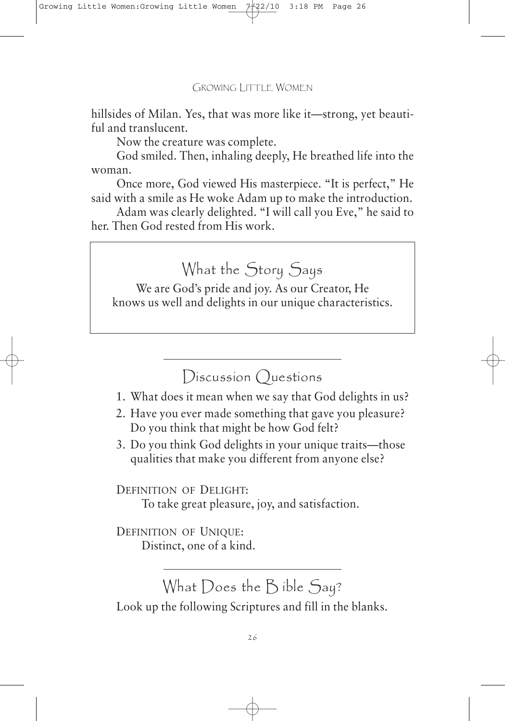hillsides of Milan. Yes, that was more like it—strong, yet beautiful and translucent.

Now the creature was complete.

God smiled. Then, inhaling deeply, He breathed life into the woman.

Once more, God viewed His masterpiece. "It is perfect," He said with a smile as He woke Adam up to make the introduction.

Adam was clearly delighted. "I will call you Eve," he said to her. Then God rested from His work.

What the Story Says

We are God's pride and joy. As our Creator, He knows us well and delights in our unique characteristics.

Discussion Questions

- 1. What does it mean when we say that God delights in us?
- 2. Have you ever made something that gave you pleasure? Do you think that might be how God felt?
- 3. Do you think God delights in your unique traits—those qualities that make you different from anyone else?

DEFINITION OF DELIGHT:

To take great pleasure, joy, and satisfaction.

DEFINITION OF UNIQUE:

Distinct, one of a kind.

What Does the B ible Say? Look up the following Scriptures and fill in the blanks.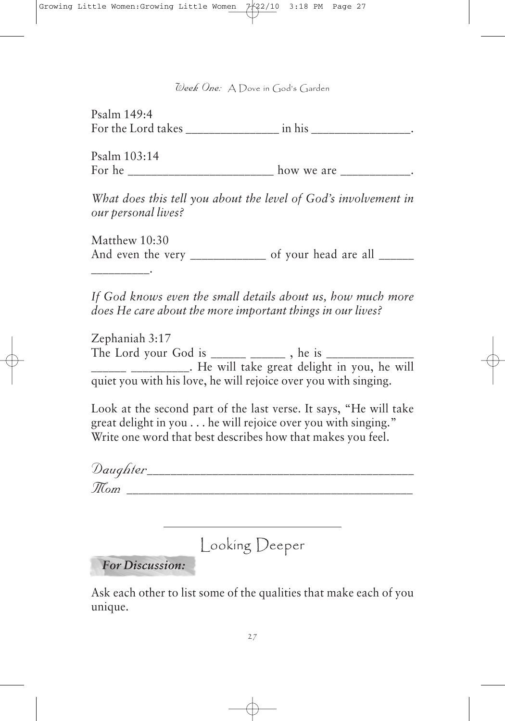*Week One:* A Dove in God's Garden

Psalm 149:4 For the Lord takes here in his the Lord takes the set of the Lord takes  $\sim$ 

Psalm 103:14 For he  $\frac{1}{2}$  how we are  $\frac{1}{2}$ 

*What does this tell you about the level of God's involvement in our personal lives?*

Matthew 10:30 And even the very \_\_\_\_\_\_\_\_\_\_\_\_\_\_\_\_\_\_ of your head are all \_\_\_\_\_\_\_\_

*If God knows even the small details about us, how much more does He care about the more important things in our lives?*

Zephaniah 3:17 The Lord your God is  $\qquad \qquad$ , he is \_\_\_\_\_\_ \_\_\_\_\_\_\_\_\_\_. He will take great delight in you, he will quiet you with his love, he will rejoice over you with singing.

Look at the second part of the last verse. It says, "He will take great delight in you . . . he will rejoice over you with singing." Write one word that best describes how that makes you feel.

| Daughter_ |  |  |  |
|-----------|--|--|--|
| Mom       |  |  |  |

Looking Deeper

*For Discussion:*

\_\_\_\_\_\_\_\_\_\_.

Ask each other to list some of the qualities that make each of you unique.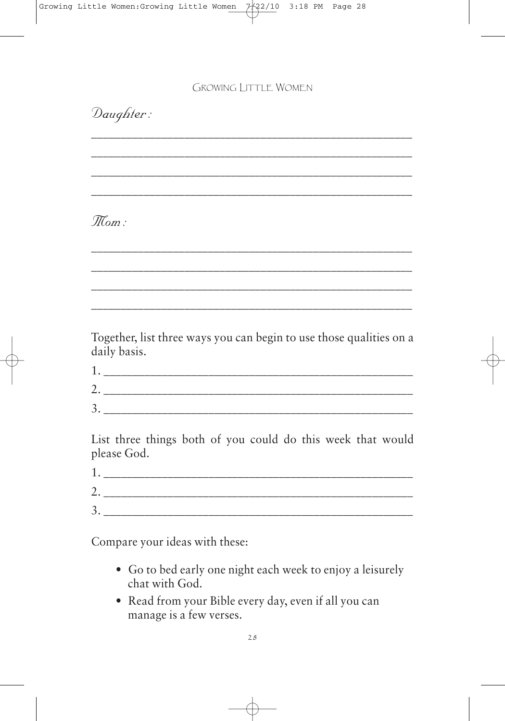#### GROWING LITTLE WOMEN

| Daughter:                                                                           |
|-------------------------------------------------------------------------------------|
|                                                                                     |
|                                                                                     |
|                                                                                     |
| $\mathcal{M}\!\!\!\!\mathit{om}:$                                                   |
|                                                                                     |
|                                                                                     |
|                                                                                     |
| Together, list three ways you can begin to use those qualities on a<br>daily basis. |
|                                                                                     |
|                                                                                     |
|                                                                                     |
| List three things both of you could do this week that would<br>please God.          |
|                                                                                     |
|                                                                                     |
|                                                                                     |

Compare your ideas with these:

- Go to bed early one night each week to enjoy a leisurely chat with God.
- Read from your Bible every day, even if all you can manage is a few verses.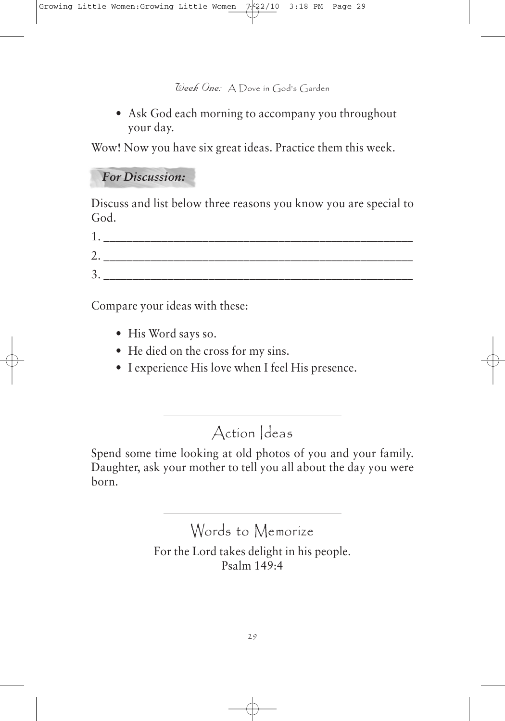*Week One:* A Dove in God's Garden

• Ask God each morning to accompany you throughout your day.

Wow! Now you have six great ideas. Practice them this week.

### *For Discussion:*

Discuss and list below three reasons you know you are special to God.

| -1<br>┸ |        | ___________ | ____________ |
|---------|--------|-------------|--------------|
| ⌒<br>∽  |        |             |              |
| 3       | ______ |             |              |

Compare your ideas with these:

- His Word says so.
- He died on the cross for my sins.
- I experience His love when I feel His presence.

## Action Ideas

Spend some time looking at old photos of you and your family. Daughter, ask your mother to tell you all about the day you were born.

> Words to Memorize For the Lord takes delight in his people. Psalm 149:4